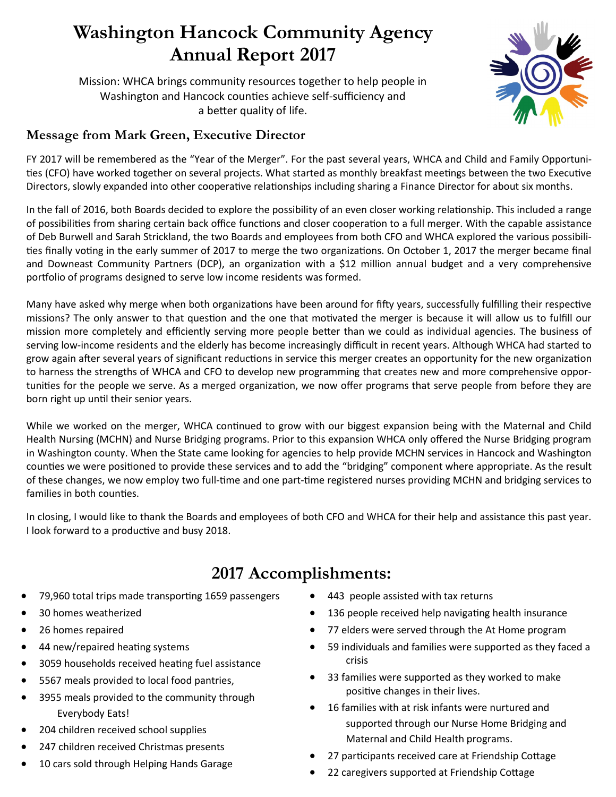## **Washington Hancock Community Agency Annual Report 2017**

Mission: WHCA brings community resources together to help people in Washington and Hancock counties achieve self-sufficiency and a better quality of life.

## **Message from Mark Green, Executive Director**

FY 2017 will be remembered as the "Year of the Merger". For the past several years, WHCA and Child and Family Opportunities (CFO) have worked together on several projects. What started as monthly breakfast meetings between the two Executive Directors, slowly expanded into other cooperative relationships including sharing a Finance Director for about six months.

In the fall of 2016, both Boards decided to explore the possibility of an even closer working relationship. This included a range of possibilities from sharing certain back office functions and closer cooperation to a full merger. With the capable assistance of Deb Burwell and Sarah Strickland, the two Boards and employees from both CFO and WHCA explored the various possibilities finally voting in the early summer of 2017 to merge the two organizations. On October 1, 2017 the merger became final and Downeast Community Partners (DCP), an organization with a \$12 million annual budget and a very comprehensive portfolio of programs designed to serve low income residents was formed.

Many have asked why merge when both organizations have been around for fifty years, successfully fulfilling their respective missions? The only answer to that question and the one that motivated the merger is because it will allow us to fulfill our mission more completely and efficiently serving more people better than we could as individual agencies. The business of serving low-income residents and the elderly has become increasingly difficult in recent years. Although WHCA had started to grow again after several years of significant reductions in service this merger creates an opportunity for the new organization to harness the strengths of WHCA and CFO to develop new programming that creates new and more comprehensive opportunities for the people we serve. As a merged organization, we now offer programs that serve people from before they are born right up until their senior years.

While we worked on the merger, WHCA continued to grow with our biggest expansion being with the Maternal and Child Health Nursing (MCHN) and Nurse Bridging programs. Prior to this expansion WHCA only offered the Nurse Bridging program in Washington county. When the State came looking for agencies to help provide MCHN services in Hancock and Washington counties we were positioned to provide these services and to add the "bridging" component where appropriate. As the result of these changes, we now employ two full-time and one part-time registered nurses providing MCHN and bridging services to families in both counties.

In closing, I would like to thank the Boards and employees of both CFO and WHCA for their help and assistance this past year. I look forward to a productive and busy 2018.

## **2017 Accomplishments:**

- 79,960 total trips made transporting 1659 passengers
- 30 homes weatherized
- 26 homes repaired
- 44 new/repaired heating systems
- 3059 households received heating fuel assistance
- 5567 meals provided to local food pantries,
- 3955 meals provided to the community through Everybody Eats!
- 204 children received school supplies
- 247 children received Christmas presents
- 10 cars sold through Helping Hands Garage
- 443 people assisted with tax returns
- 136 people received help navigating health insurance
- 77 elders were served through the At Home program
- 59 individuals and families were supported as they faced a crisis
- 33 families were supported as they worked to make positive changes in their lives.
- 16 families with at risk infants were nurtured and supported through our Nurse Home Bridging and Maternal and Child Health programs.
- 27 participants received care at Friendship Cottage
- 22 caregivers supported at Friendship Cottage